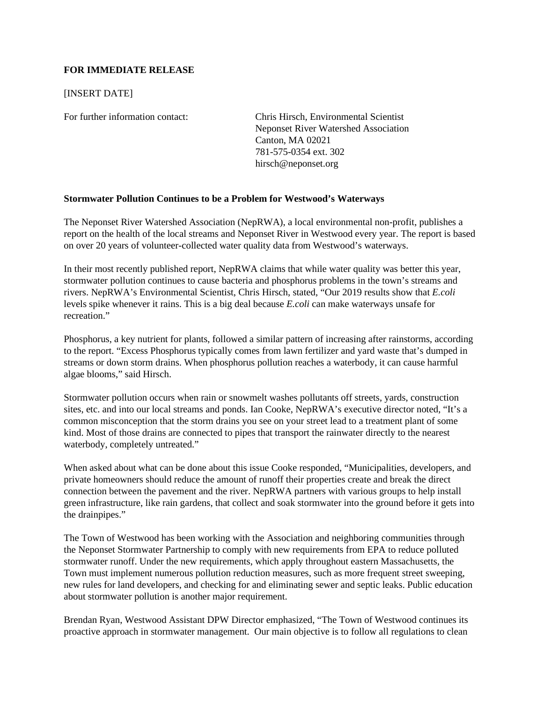## **FOR IMMEDIATE RELEASE**

## [INSERT DATE]

For further information contact: Chris Hirsch, Environmental Scientist Neponset River Watershed Association Canton, MA 02021 781-575-0354 ext. 302 hirsch@neponset.org

## **Stormwater Pollution Continues to be a Problem for Westwood's Waterways**

The Neponset River Watershed Association (NepRWA), a local environmental non-profit, publishes a report on the health of the local streams and Neponset River in Westwood every year. The report is based on over 20 years of volunteer-collected water quality data from Westwood's waterways.

In their most recently published report, NepRWA claims that while water quality was better this year, stormwater pollution continues to cause bacteria and phosphorus problems in the town's streams and rivers. NepRWA's Environmental Scientist, Chris Hirsch, stated, "Our 2019 results show that *E.coli* levels spike whenever it rains. This is a big deal because *E.coli* can make waterways unsafe for recreation."

Phosphorus, a key nutrient for plants, followed a similar pattern of increasing after rainstorms, according to the report. "Excess Phosphorus typically comes from lawn fertilizer and yard waste that's dumped in streams or down storm drains. When phosphorus pollution reaches a waterbody, it can cause harmful algae blooms," said Hirsch.

Stormwater pollution occurs when rain or snowmelt washes pollutants off streets, yards, construction sites, etc. and into our local streams and ponds. Ian Cooke, NepRWA's executive director noted, "It's a common misconception that the storm drains you see on your street lead to a treatment plant of some kind. Most of those drains are connected to pipes that transport the rainwater directly to the nearest waterbody, completely untreated."

When asked about what can be done about this issue Cooke responded, "Municipalities, developers, and private homeowners should reduce the amount of runoff their properties create and break the direct connection between the pavement and the river. NepRWA partners with various groups to help install green infrastructure, like rain gardens, that collect and soak stormwater into the ground before it gets into the drainpipes."

The Town of Westwood has been working with the Association and neighboring communities through the Neponset Stormwater Partnership to comply with new requirements from EPA to reduce polluted stormwater runoff. Under the new requirements, which apply throughout eastern Massachusetts, the Town must implement numerous pollution reduction measures, such as more frequent street sweeping, new rules for land developers, and checking for and eliminating sewer and septic leaks. Public education about stormwater pollution is another major requirement.

Brendan Ryan, Westwood Assistant DPW Director emphasized, "The Town of Westwood continues its proactive approach in stormwater management. Our main objective is to follow all regulations to clean